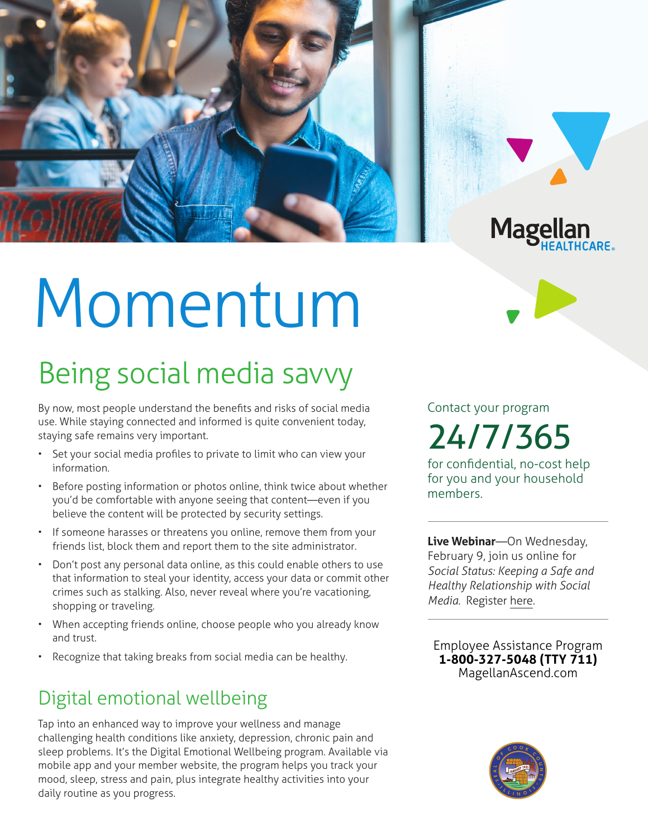

# Momentum

# Being social media savvy

By now, most people understand the benefits and risks of social media use. While staying connected and informed is quite convenient today, staying safe remains very important.

- Set your social media profiles to private to limit who can view your information.
- Before posting information or photos online, think twice about whether you'd be comfortable with anyone seeing that content—even if you believe the content will be protected by security settings.
- If someone harasses or threatens you online, remove them from your friends list, block them and report them to the site administrator.
- Don't post any personal data online, as this could enable others to use that information to steal your identity, access your data or commit other crimes such as stalking. Also, never reveal where you're vacationing, shopping or traveling.
- When accepting friends online, choose people who you already know and trust.
- Recognize that taking breaks from social media can be healthy.

## Digital emotional wellbeing

Tap into an enhanced way to improve your wellness and manage challenging health conditions like anxiety, depression, chronic pain and sleep problems. It's the Digital Emotional Wellbeing program. Available via mobile app and your member website, the program helps you track your mood, sleep, stress and pain, plus integrate healthy activities into your daily routine as you progress.

Contact your program 24/7/365

for confidential, no-cost help for you and your household members.

**Live Webinar**—On Wednesday, February 9, join us online for *Social Status: Keeping a Safe and Healthy Relationship with Social Media.* Register [here.](https://events-na4.adobeconnect.com/content/connect/c1/825364167/en/events/event/shared/default_template_simple/event_registration.html?sco-id=2291184555&_charset_=utf-8)

**Employee Assistance Program 1-800-327-5048 (TTY 711) MagellanAscend.com**